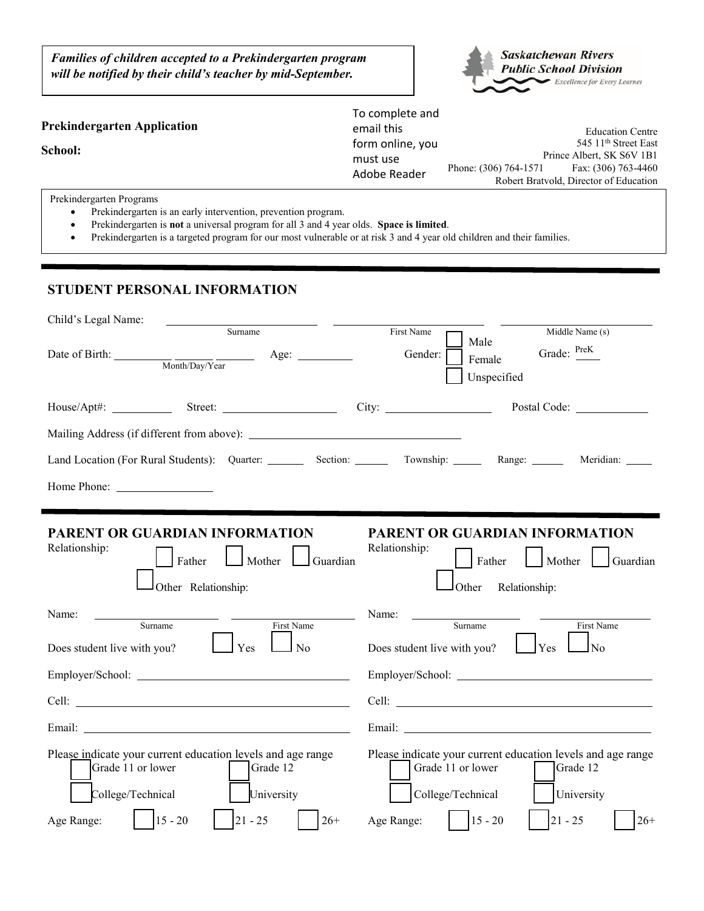*Families of children accepted to a Prekindergarten program will be notified by their child's teacher by mid-September.*



|                                    | To complete and          |                           |                                        |
|------------------------------------|--------------------------|---------------------------|----------------------------------------|
| <b>Prekindergarten Application</b> | email this               |                           | <b>Education Centre</b>                |
| School:                            | form online, you         |                           | 545 11 <sup>th</sup> Street East       |
|                                    | must use<br>Adobe Reader | Prince Albert, SK S6V 1B1 |                                        |
|                                    |                          | Phone: (306) 764-1571     | Fax: (306) 763-4460                    |
|                                    |                          |                           | Robert Bratvold, Director of Education |

Prekindergarten Programs

- Prekindergarten is an early intervention, prevention program.
- Prekindergarten is **not** a universal program for all 3 and 4 year olds. **Space is limited**.
- Prekindergarten is a targeted program for our most vulnerable or at risk 3 and 4 year old children and their families.

## **STUDENT PERSONAL INFORMATION**

| Surname<br>Middle Name (s)<br>First Name<br>Male<br>Grade: PreK<br>Date of Birth: $\frac{M_{\text{onth}}/D_{\text{av}}}{M_{\text{onth}}/D_{\text{av}}/Y_{\text{car}}}$ Age:<br>Gender:<br>Female<br>Unspecified<br>Postal Code: _______________<br>Land Location (For Rural Students): Quarter: Section: Township: Range: Meridian: Meridian:<br>PARENT OR GUARDIAN INFORMATION<br>PARENT OR GUARDIAN INFORMATION<br>Relationship:<br>Relationship:<br>Father<br>$\vert$   Mother<br>Father<br>Mother<br>Guardian<br>Other Relationship:<br>Other<br>Relationship:<br>Name:<br>Name:<br>Surname<br>$\overline{\text{Surname}}$<br>First Name<br>First Name<br>Yes<br>$\Box$ Yes<br>Does student live with you?<br>Does student live with you?<br>l No<br>$\Box$ No<br>Email: North and the contract of the contract of the contract of the contract of the contract of the contract of the contract of the contract of the contract of the contract of the contract of the contract of the contract<br>Email: The Commission of the Commission of the Commission of the Commission of the Commission of the Commission<br>Please indicate your current education levels and age range<br>Grade 11 or lower<br>Grade 12<br>Grade 11 or lower<br>Grade 12 | Child's Legal Name: |                                                                      |
|---------------------------------------------------------------------------------------------------------------------------------------------------------------------------------------------------------------------------------------------------------------------------------------------------------------------------------------------------------------------------------------------------------------------------------------------------------------------------------------------------------------------------------------------------------------------------------------------------------------------------------------------------------------------------------------------------------------------------------------------------------------------------------------------------------------------------------------------------------------------------------------------------------------------------------------------------------------------------------------------------------------------------------------------------------------------------------------------------------------------------------------------------------------------------------------------------------------------------------------------------------|---------------------|----------------------------------------------------------------------|
|                                                                                                                                                                                                                                                                                                                                                                                                                                                                                                                                                                                                                                                                                                                                                                                                                                                                                                                                                                                                                                                                                                                                                                                                                                                         |                     |                                                                      |
|                                                                                                                                                                                                                                                                                                                                                                                                                                                                                                                                                                                                                                                                                                                                                                                                                                                                                                                                                                                                                                                                                                                                                                                                                                                         |                     |                                                                      |
|                                                                                                                                                                                                                                                                                                                                                                                                                                                                                                                                                                                                                                                                                                                                                                                                                                                                                                                                                                                                                                                                                                                                                                                                                                                         |                     |                                                                      |
|                                                                                                                                                                                                                                                                                                                                                                                                                                                                                                                                                                                                                                                                                                                                                                                                                                                                                                                                                                                                                                                                                                                                                                                                                                                         |                     |                                                                      |
|                                                                                                                                                                                                                                                                                                                                                                                                                                                                                                                                                                                                                                                                                                                                                                                                                                                                                                                                                                                                                                                                                                                                                                                                                                                         |                     |                                                                      |
|                                                                                                                                                                                                                                                                                                                                                                                                                                                                                                                                                                                                                                                                                                                                                                                                                                                                                                                                                                                                                                                                                                                                                                                                                                                         |                     |                                                                      |
|                                                                                                                                                                                                                                                                                                                                                                                                                                                                                                                                                                                                                                                                                                                                                                                                                                                                                                                                                                                                                                                                                                                                                                                                                                                         |                     | Guardian                                                             |
|                                                                                                                                                                                                                                                                                                                                                                                                                                                                                                                                                                                                                                                                                                                                                                                                                                                                                                                                                                                                                                                                                                                                                                                                                                                         |                     |                                                                      |
|                                                                                                                                                                                                                                                                                                                                                                                                                                                                                                                                                                                                                                                                                                                                                                                                                                                                                                                                                                                                                                                                                                                                                                                                                                                         |                     |                                                                      |
|                                                                                                                                                                                                                                                                                                                                                                                                                                                                                                                                                                                                                                                                                                                                                                                                                                                                                                                                                                                                                                                                                                                                                                                                                                                         |                     | Employer/School: <u>Communication</u>                                |
|                                                                                                                                                                                                                                                                                                                                                                                                                                                                                                                                                                                                                                                                                                                                                                                                                                                                                                                                                                                                                                                                                                                                                                                                                                                         |                     | Cell:                                                                |
|                                                                                                                                                                                                                                                                                                                                                                                                                                                                                                                                                                                                                                                                                                                                                                                                                                                                                                                                                                                                                                                                                                                                                                                                                                                         |                     |                                                                      |
| College/Technical<br>University<br>College/Technical<br>University<br>$15 - 20$<br>$15 - 20$<br>$21 - 25$<br>Age Range:<br>$ 21 - 25$<br>Age Range:<br>$26+$                                                                                                                                                                                                                                                                                                                                                                                                                                                                                                                                                                                                                                                                                                                                                                                                                                                                                                                                                                                                                                                                                            |                     | Please indicate your current education levels and age range<br>$26+$ |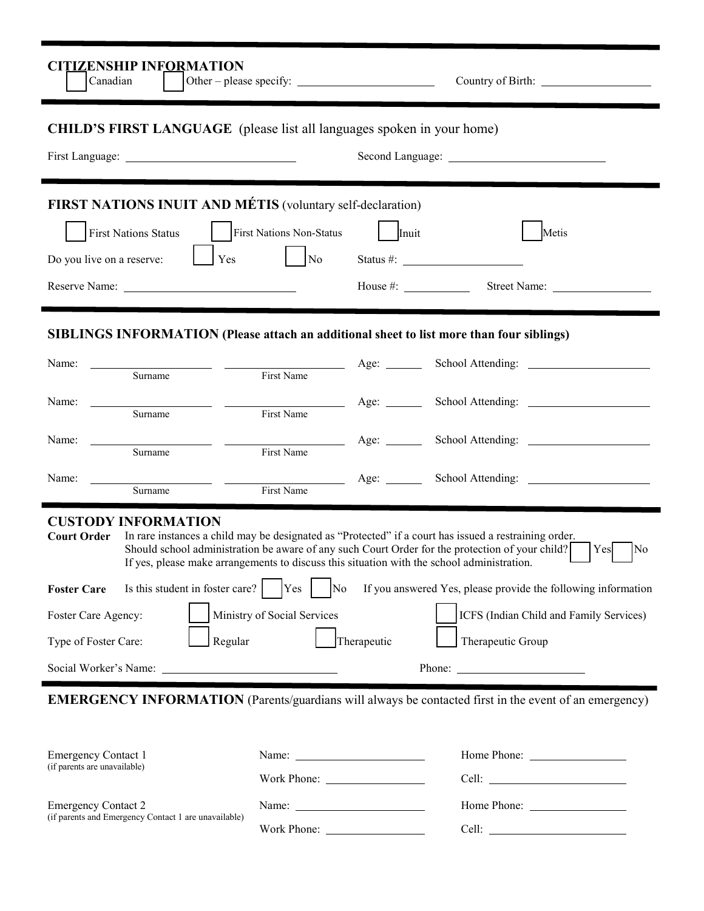| <b>CITIZENSHIP INFORMATION</b><br>Canadian                                                                                                                                                                                     |                             |             |                                                                                                                                                                                                                                                                                                         |
|--------------------------------------------------------------------------------------------------------------------------------------------------------------------------------------------------------------------------------|-----------------------------|-------------|---------------------------------------------------------------------------------------------------------------------------------------------------------------------------------------------------------------------------------------------------------------------------------------------------------|
| <b>CHILD'S FIRST LANGUAGE</b> (please list all languages spoken in your home)                                                                                                                                                  |                             |             |                                                                                                                                                                                                                                                                                                         |
|                                                                                                                                                                                                                                |                             |             |                                                                                                                                                                                                                                                                                                         |
| FIRST NATIONS INUIT AND MÉTIS (voluntary self-declaration)                                                                                                                                                                     |                             |             |                                                                                                                                                                                                                                                                                                         |
| First Nations Status                                                                                                                                                                                                           | First Nations Non-Status    | Inuit       | Metis                                                                                                                                                                                                                                                                                                   |
| Yes<br>Do you live on a reserve:                                                                                                                                                                                               | $\vert$ No                  |             |                                                                                                                                                                                                                                                                                                         |
| Reserve Name: University of the Contract of the Contract of the Contract of the Contract of the Contract of the Contract of the Contract of the Contract of the Contract of the Contract of the Contract of the Contract of th |                             |             |                                                                                                                                                                                                                                                                                                         |
| SIBLINGS INFORMATION (Please attach an additional sheet to list more than four siblings)                                                                                                                                       |                             |             |                                                                                                                                                                                                                                                                                                         |
| Name:<br>Surname                                                                                                                                                                                                               |                             |             |                                                                                                                                                                                                                                                                                                         |
| Surname                                                                                                                                                                                                                        | First Name                  |             | Age: School Attending: 2000 Million                                                                                                                                                                                                                                                                     |
| Name:<br>Surname                                                                                                                                                                                                               | First Name                  |             | Age: School Attending:                                                                                                                                                                                                                                                                                  |
| Name:<br>Surname                                                                                                                                                                                                               | First Name                  |             | Age: School Attending:                                                                                                                                                                                                                                                                                  |
| <b>CUSTODY INFORMATION</b><br><b>Court Order</b><br>If yes, please make arrangements to discuss this situation with the school administration.<br>Is this student in foster care?<br><b>Foster Care</b>                        | Yes<br>No                   |             | In rare instances a child may be designated as "Protected" if a court has issued a restraining order.<br>Should school administration be aware of any such Court Order for the protection of your child?<br>Yes<br>$\overline{\rm No}$<br>If you answered Yes, please provide the following information |
| Foster Care Agency:                                                                                                                                                                                                            | Ministry of Social Services |             | ICFS (Indian Child and Family Services)                                                                                                                                                                                                                                                                 |
| Type of Foster Care:<br>Regular                                                                                                                                                                                                |                             | Therapeutic | Therapeutic Group                                                                                                                                                                                                                                                                                       |
|                                                                                                                                                                                                                                |                             |             |                                                                                                                                                                                                                                                                                                         |
|                                                                                                                                                                                                                                |                             |             | <b>EMERGENCY INFORMATION</b> (Parents/guardians will always be contacted first in the event of an emergency)                                                                                                                                                                                            |
| <b>Emergency Contact 1</b><br>(if parents are unavailable)                                                                                                                                                                     |                             |             |                                                                                                                                                                                                                                                                                                         |

Emergency Contact 2 (if parents and Emergency Contact 1 are unavailable)

Name: Home Phone: Work Phone: Cell: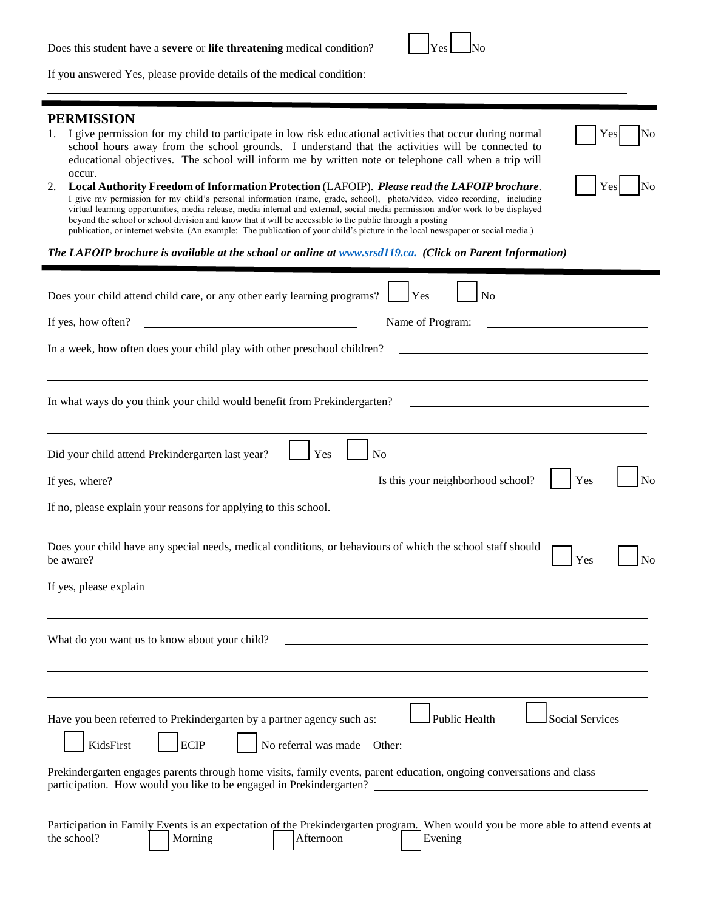| If you answered Yes, please provide details of the medical condition:                                                                                                                                                                                                                                                                                                                                                                                                                                                                                                                                                                                                                                                                                                                                                                                                                                                                                                                                                                                                                              |
|----------------------------------------------------------------------------------------------------------------------------------------------------------------------------------------------------------------------------------------------------------------------------------------------------------------------------------------------------------------------------------------------------------------------------------------------------------------------------------------------------------------------------------------------------------------------------------------------------------------------------------------------------------------------------------------------------------------------------------------------------------------------------------------------------------------------------------------------------------------------------------------------------------------------------------------------------------------------------------------------------------------------------------------------------------------------------------------------------|
| <b>PERMISSION</b><br>I give permission for my child to participate in low risk educational activities that occur during normal<br>Yes<br>school hours away from the school grounds. I understand that the activities will be connected to<br>educational objectives. The school will inform me by written note or telephone call when a trip will<br>occur.<br>Local Authority Freedom of Information Protection (LAFOIP). Please read the LAFOIP brochure.<br>Yes<br>2.<br>I give my permission for my child's personal information (name, grade, school), photo/video, video recording, including<br>virtual learning opportunities, media release, media internal and external, social media permission and/or work to be displayed<br>beyond the school or school division and know that it will be accessible to the public through a posting<br>publication, or internet website. (An example: The publication of your child's picture in the local newspaper or social media.)<br>The LAFOIP brochure is available at the school or online at www.srsd119.ca. (Click on Parent Information) |
| Does your child attend child care, or any other early learning programs?<br>Yes<br>N <sub>o</sub>                                                                                                                                                                                                                                                                                                                                                                                                                                                                                                                                                                                                                                                                                                                                                                                                                                                                                                                                                                                                  |
| <u>and the contract of the contract of the contract of the contract of the contract of the contract of the contract of the contract of the contract of the contract of the contract of the contract of the contract of the contr</u><br>Name of Program:<br>If yes, how often?                                                                                                                                                                                                                                                                                                                                                                                                                                                                                                                                                                                                                                                                                                                                                                                                                     |
| In a week, how often does your child play with other preschool children?                                                                                                                                                                                                                                                                                                                                                                                                                                                                                                                                                                                                                                                                                                                                                                                                                                                                                                                                                                                                                           |
| In what ways do you think your child would benefit from Prekindergarten?                                                                                                                                                                                                                                                                                                                                                                                                                                                                                                                                                                                                                                                                                                                                                                                                                                                                                                                                                                                                                           |
| Yes<br>N <sub>o</sub><br>Did your child attend Prekindergarten last year?                                                                                                                                                                                                                                                                                                                                                                                                                                                                                                                                                                                                                                                                                                                                                                                                                                                                                                                                                                                                                          |
| If yes, where? $\qquad \qquad$<br>Yes<br>N <sub>o</sub><br>Is this your neighborhood school?                                                                                                                                                                                                                                                                                                                                                                                                                                                                                                                                                                                                                                                                                                                                                                                                                                                                                                                                                                                                       |
|                                                                                                                                                                                                                                                                                                                                                                                                                                                                                                                                                                                                                                                                                                                                                                                                                                                                                                                                                                                                                                                                                                    |
| Does your child have any special needs, medical conditions, or behaviours of which the school staff should<br>Yes<br>be aware?<br>N٥                                                                                                                                                                                                                                                                                                                                                                                                                                                                                                                                                                                                                                                                                                                                                                                                                                                                                                                                                               |
| If yes, please explain                                                                                                                                                                                                                                                                                                                                                                                                                                                                                                                                                                                                                                                                                                                                                                                                                                                                                                                                                                                                                                                                             |
| What do you want us to know about your child?                                                                                                                                                                                                                                                                                                                                                                                                                                                                                                                                                                                                                                                                                                                                                                                                                                                                                                                                                                                                                                                      |
| Public Health<br>Social Services<br>Have you been referred to Prekindergarten by a partner agency such as:<br>KidsFirst<br><b>ECIP</b><br>No referral was made Other:<br>Prekindergarten engages parents through home visits, family events, parent education, ongoing conversations and class<br>participation. How would you like to be engaged in Prekindergarten?<br>Participation in Family Events is an expectation of the Prekindergarten program. When would you be more able to attend events at<br>Morning<br>Afternoon<br>the school?<br>Evening                                                                                                                                                                                                                                                                                                                                                                                                                                                                                                                                        |

Does this student have a **severe** or **life threatening** medical condition?  $Yes$  No